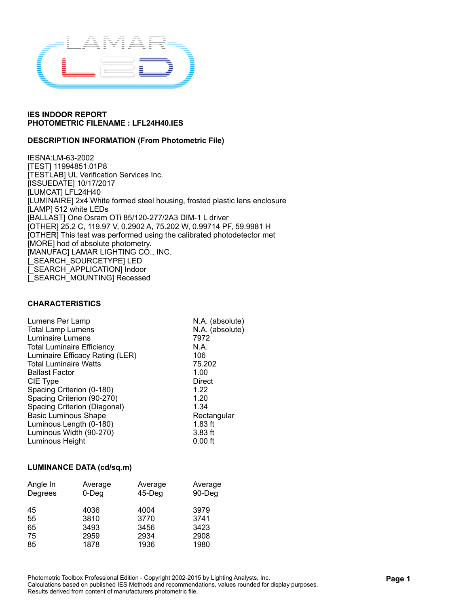

### **DESCRIPTION INFORMATION (From Photometric File)**

IESNA:LM-63-2002 [TEST] 11994851.01P8 [TESTLAB] UL Verification Services Inc. [ISSUEDATE] 10/17/2017 [LUMCAT] LFL24H40 [LUMINAIRE] 2x4 White formed steel housing, frosted plastic lens enclosure [LAMP] 512 white LEDs [BALLAST] One Osram OTi 85/120-277/2A3 DIM-1 L driver [OTHER] 25.2 C, 119.97 V, 0.2902 A, 75.202 W, 0.99714 PF, 59.9981 H [OTHER] This test was performed using the calibrated photodetector met [MORE] hod of absolute photometry. [MANUFAC] LAMAR LIGHTING CO., INC. [\_SEARCH\_SOURCETYPE] LED [\_SEARCH\_APPLICATION] Indoor [\_SEARCH\_MOUNTING] Recessed

#### **CHARACTERISTICS**

| Lumens Per Lamp                   | N.A. (absolute) |
|-----------------------------------|-----------------|
| <b>Total Lamp Lumens</b>          | N.A. (absolute) |
| Luminaire Lumens                  | 7972            |
| <b>Total Luminaire Efficiency</b> | N.A.            |
| Luminaire Efficacy Rating (LER)   | 106             |
| <b>Total Luminaire Watts</b>      | 75.202          |
| <b>Ballast Factor</b>             | 1.00            |
| CIE Type                          | Direct          |
| Spacing Criterion (0-180)         | 1.22            |
| Spacing Criterion (90-270)        | 1.20            |
| Spacing Criterion (Diagonal)      | 1.34            |
| <b>Basic Luminous Shape</b>       | Rectangular     |
| Luminous Length (0-180)           | $1.83$ ft       |
| Luminous Width (90-270)           | $3.83$ ft       |
| Luminous Height                   | $0.00$ ft       |
|                                   |                 |

#### **LUMINANCE DATA (cd/sq.m)**

| Angle In | Average  | Average   | Average |
|----------|----------|-----------|---------|
| Degrees  | $0$ -Deg | $45$ -Deg | 90-Deg  |
| 45       | 4036     | 4004      | 3979    |
| 55       | 3810     | 3770      | 3741    |
| 65       | 3493     | 3456      | 3423    |
| 75       | 2959     | 2934      | 2908    |
| 85       | 1878     | 1936      | 1980    |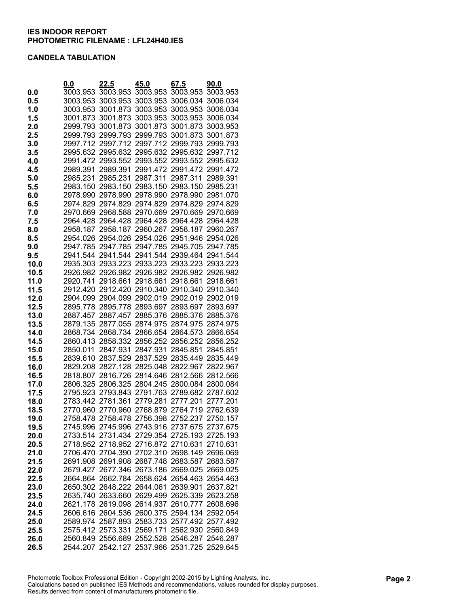### **CANDELA TABULATION**

|      | 0.0      | 22.5                                         | 45.0              | 67.5                       | 90.0     |
|------|----------|----------------------------------------------|-------------------|----------------------------|----------|
| 0.0  | 3003.953 | 3003.953                                     | 3003.953          | 3003.953                   | 3003.953 |
| 0.5  | 3003.953 | 3003.953                                     | 3003.953          | 3006.034                   | 3006.034 |
| 1.0  | 3003.953 | 3001.873                                     | 3003.953          | 3003.953                   | 3006.034 |
| 1.5  | 3001.873 | 3001.873                                     | 3003.953          | 3003.953                   | 3006.034 |
| 2.0  | 2999.793 | 3001.873                                     | 3001.873          | 3001.873                   | 3003.953 |
| 2.5  | 2999.793 | 2999.793                                     | 2999.793          | 3001.873                   | 3001.873 |
| 3.0  | 2997.712 | 2997.712                                     | 2997.712          | 2999.793                   | 2999.793 |
| 3.5  |          | 2995.632 2995.632 2995.632 2995.632          |                   |                            | 2997.712 |
| 4.0  |          | 2991.472 2993.552                            | 2993.552 2993.552 |                            | 2995.632 |
| 4.5  | 2989.391 | 2989.391                                     |                   | 2991.472 2991.472 2991.472 |          |
| 5.0  | 2985.231 | 2985.231                                     | 2987.311          | 2987.311                   | 2989.391 |
| 5.5  |          | 2983.150 2983.150                            | 2983.150          | 2983.150                   | 2985.231 |
| 6.0  |          | 2978.990 2978.990                            | 2978.990          | 2978.990                   | 2981.070 |
| 6.5  |          | 2974.829 2974.829 2974.829                   |                   | 2974.829                   | 2974.829 |
| 7.0  |          | 2970.669 2968.588 2970.669 2970.669          |                   |                            | 2970.669 |
| 7.5  |          | 2964.428 2964.428                            |                   | 2964.428 2964.428          | 2964.428 |
| 8.0  |          | 2958.187 2958.187                            |                   | 2960.267 2958.187          | 2960.267 |
| 8.5  |          | 2954.026 2954.026                            | 2954.026          | 2951.946                   | 2954.026 |
| 9.0  | 2947.785 | 2947.785                                     | 2947.785          | 2945.705                   | 2947.785 |
| 9.5  | 2941.544 | 2941.544                                     | 2941.544          | 2939.464                   | 2941.544 |
| 10.0 | 2935.303 | 2933.223                                     | 2933.223          | 2933.223                   | 2933.223 |
| 10.5 | 2926.982 | 2926.982                                     | 2926.982          | 2926.982                   | 2926.982 |
| 11.0 | 2920.741 | 2918.661                                     | 2918.661          | 2918.661                   | 2918.661 |
| 11.5 |          | 2912.420 2912.420                            |                   | 2910.340 2910.340          | 2910.340 |
| 12.0 |          | 2904.099 2904.099 2902.019 2902.019 2902.019 |                   |                            |          |
| 12.5 |          | 2895.778 2895.778                            | 2893.697          | 2893.697 2893.697          |          |
| 13.0 | 2887.457 | 2887.457                                     | 2885.376          | 2885.376                   | 2885.376 |
| 13.5 |          | 2879.135 2877.055                            | 2874.975          | 2874.975                   | 2874.975 |
| 14.0 |          | 2868.734 2868.734 2866.654                   |                   | 2864.573                   | 2866.654 |
| 14.5 |          | 2860.413 2858.332                            | 2856.252          | 2856.252                   | 2856.252 |
| 15.0 | 2850.011 | 2847.931                                     | 2847.931          | 2845.851                   | 2845.851 |
| 15.5 |          | 2839.610 2837.529 2837.529 2835.449          |                   |                            | 2835.449 |
| 16.0 |          | 2829.208 2827.128                            | 2825.048 2822.967 |                            | 2822.967 |
| 16.5 | 2818.807 | 2816.726                                     | 2814.646          | 2812.566                   | 2812.566 |
| 17.0 | 2806.325 | 2806.325                                     | 2804.245          | 2800.084                   | 2800.084 |
| 17.5 | 2795.923 | 2793.843                                     | 2791.763          | 2789.682                   | 2787.602 |
| 18.0 | 2783.442 | 2781.361                                     | 2779.281          | 2777.201                   | 2777.201 |
| 18.5 |          | 2770.960 2770.960                            |                   | 2768.879 2764.719 2762.639 |          |
| 19.0 |          | 2758.478 2758.478                            |                   | 2756.398 2752.237 2750.157 |          |
| 19.5 |          | 2745.996 2745.996 2743.916 2737.675 2737.675 |                   |                            |          |
| 20.0 |          | 2733.514 2731.434 2729.354 2725.193 2725.193 |                   |                            |          |
| 20.5 |          | 2718.952 2718.952 2716.872 2710.631 2710.631 |                   |                            |          |
| 21.0 |          | 2706.470 2704.390 2702.310 2698.149 2696.069 |                   |                            |          |
| 21.5 |          | 2691.908 2691.908 2687.748 2683.587 2683.587 |                   |                            |          |
| 22.0 |          | 2679.427 2677.346 2673.186 2669.025 2669.025 |                   |                            |          |
| 22.5 |          | 2664.864 2662.784 2658.624 2654.463 2654.463 |                   |                            |          |
| 23.0 |          | 2650.302 2648.222 2644.061                   |                   | 2639.901 2637.821          |          |
| 23.5 |          | 2635.740 2633.660 2629.499 2625.339 2623.258 |                   |                            |          |
| 24.0 |          | 2621.178 2619.098 2614.937 2610.777 2608.696 |                   |                            |          |
| 24.5 |          | 2606.616 2604.536 2600.375 2594.134 2592.054 |                   |                            |          |
| 25.0 |          | 2589.974 2587.893 2583.733 2577.492 2577.492 |                   |                            |          |
| 25.5 |          | 2575.412 2573.331 2569.171 2562.930 2560.849 |                   |                            |          |
| 26.0 |          | 2560.849 2556.689 2552.528 2546.287 2546.287 |                   |                            |          |
| 26.5 |          | 2544.207 2542.127 2537.966 2531.725 2529.645 |                   |                            |          |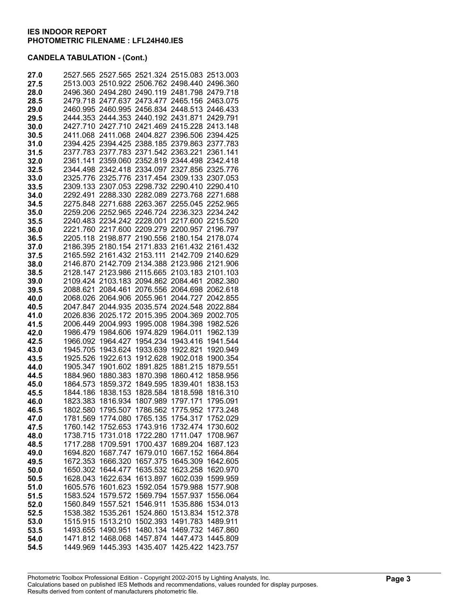| 27.0         |                      | 2527.565 2527.565 2521.324 2515.083 2513.003 |                            |                                     |                      |
|--------------|----------------------|----------------------------------------------|----------------------------|-------------------------------------|----------------------|
| 27.5         |                      | 2513.003 2510.922 2506.762 2498.440 2496.360 |                            |                                     |                      |
| 28.0         |                      | 2496.360 2494.280 2490.119 2481.798          |                            |                                     | 2479.718             |
| 28.5         |                      | 2479.718 2477.637 2473.477 2465.156 2463.075 |                            |                                     |                      |
| 29.0         |                      | 2460.995 2460.995 2456.834 2448.513          |                            |                                     | 2446.433             |
| 29.5         | 2444.353             | 2444.353                                     | 2440.192 2431.871          |                                     | 2429.791             |
| 30.0         | 2427.710             | 2427.710                                     | 2421.469                   | 2415.228                            | 2413.148             |
| 30.5         | 2411.068             | 2411.068                                     | 2404.827                   | 2396.506                            | 2394.425             |
| 31.0         |                      | 2394.425 2394.425 2388.185 2379.863 2377.783 |                            |                                     |                      |
| 31.5         |                      | 2377.783 2377.783 2371.542 2363.221          |                            |                                     | 2361.141             |
| 32.0         | 2361.141             |                                              |                            | 2359.060 2352.819 2344.498 2342.418 |                      |
| 32.5         |                      | 2344.498 2342.418 2334.097 2327.856 2325.776 |                            |                                     |                      |
| 33.0         |                      | 2325.776 2325.776 2317.454 2309.133 2307.053 |                            |                                     |                      |
| 33.5         |                      | 2309.133 2307.053                            |                            | 2298.732 2290.410                   | 2290.410             |
| 34.0         | 2292.491             |                                              | 2288.330 2282.089 2273.768 |                                     | 2271.688             |
| 34.5         |                      | 2275.848 2271.688 2263.367                   |                            | 2255.045                            | 2252.965             |
| 35.0         |                      | 2259.206 2252.965 2246.724 2236.323          |                            |                                     | 2234.242             |
| 35.5         |                      | 2240.483 2234.242 2228.001                   |                            | 2217.600                            | 2215.520             |
| 36.0         |                      | 2221.760 2217.600 2209.279 2200.957          |                            |                                     | 2196.797             |
| 36.5         | 2205.118             | 2198.877 2190.556 2180.154                   |                            |                                     | 2178.074             |
| 37.0         | 2186.395             |                                              |                            | 2180.154 2171.833 2161.432 2161.432 |                      |
| 37.5         | 2165.592             | 2161.432                                     | 2153.111                   | 2142.709                            | 2140.629             |
| 38.0         | 2146.870             | 2142.709 2134.388                            |                            | 2123.986                            | 2121.906             |
| 38.5         | 2128.147             | 2123.986 2115.665                            |                            | 2103.183 2101.103                   |                      |
| 39.0         | 2109.424             |                                              | 2103.183 2094.862          | 2084.461                            | 2082.380             |
| 39.5         | 2088.621             | 2084.461                                     | 2076.556                   | 2064.698                            | 2062.618             |
| 40.0         | 2068.026             | 2064.906                                     | 2055.961                   | 2044.727                            | 2042.855             |
| 40.5         | 2047.847             | 2044.935 2035.574                            |                            | 2024.548 2022.884                   |                      |
| 41.0         | 2026.836             | 2025.172                                     | 2015.395                   | 2004.369 2002.705                   |                      |
| 41.5         | 2006.449             | 2004.993                                     | 1995.008                   | 1984.398                            | 1982.526             |
| 42.0         | 1986.479             | 1984.606                                     | 1974.829                   | 1964.011                            | 1962.139             |
| 42.5<br>43.0 | 1966.092<br>1945.705 | 1964.427<br>1943.624                         | 1954.234<br>1933.639       | 1943.416<br>1922.821                | 1941.544<br>1920.949 |
| 43.5         | 1925.526             | 1922.613                                     | 1912.628                   | 1902.018                            | 1900.354             |
| 44.0         | 1905.347             | 1901.602                                     | 1891.825                   | 1881.215                            | 1879.551             |
| 44.5         | 1884.960             | 1880.383                                     | 1870.398                   | 1860.412                            | 1858.956             |
| 45.0         | 1864.573             | 1859.372                                     | 1849.595                   | 1839.401                            | 1838.153             |
| 45.5         | 1844.186             | 1838.153                                     | 1828.584                   | 1818.598                            | 1816.310             |
| 46.0         | 1823.383             | 1816.934                                     | 1807.989                   | 1797.171                            | 1795.091             |
| 46.5         | 1802.580             | 1795.507                                     | 1786.562                   | 1775.952                            | 1773.248             |
| 47.0         | 1781.569             | 1774.080                                     | 1765.135                   | 1754.317                            | 1752.029             |
| 47.5         | 1760.142             | 1752.653                                     | 1743.916                   | 1732.474                            | 1730.602             |
| 48.0         | 1738.715             | 1731.018                                     | 1722.280                   | 1711.047                            | 1708.967             |
| 48.5         | 1717.288             | 1709.591                                     | 1700.437                   | 1689.204                            | 1687.123             |
| 49.0         | 1694.820             | 1687.747                                     | 1679.010                   | 1667.152                            | 1664.864             |
| 49.5         | 1672.353             | 1666.320                                     | 1657.375                   | 1645.309                            | 1642.605             |
| 50.0         | 1650.302             | 1644.477                                     | 1635.532                   | 1623.258                            | 1620.970             |
| 50.5         | 1628.043             | 1622.634                                     | 1613.897                   | 1602.039                            | 1599.959             |
| 51.0         | 1605.576             | 1601.623                                     | 1592.054                   | 1579.988                            | 1577.908             |
| 51.5         | 1583.524             | 1579.572                                     | 1569.794                   | 1557.937                            | 1556.064             |
| 52.0         | 1560.849             | 1557.521                                     | 1546.911                   | 1535.886                            | 1534.013             |
| 52.5         | 1538.382             | 1535.261                                     | 1524.860                   | 1513.834                            | 1512.378             |
| 53.0         | 1515.915             | 1513.210                                     | 1502.393                   | 1491.783                            | 1489.911             |
| 53.5         | 1493.655             | 1490.951                                     | 1480.134                   | 1469.732                            | 1467.860             |
| 54.0         | 1471.812             | 1468.068                                     | 1457.874                   | 1447.473                            | 1445.809             |
| 54.5         | 1449.969             | 1445.393                                     | 1435.407                   | 1425.422                            | 1423.757             |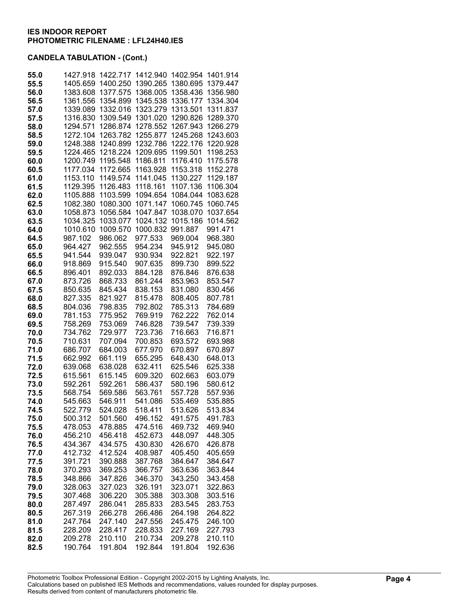| 55.0         | 1427.918             | 1422.717             | 1412.940             | 1402.954             | 1401.914             |
|--------------|----------------------|----------------------|----------------------|----------------------|----------------------|
| 55.5         | 1405.659             | 1400.250             | 1390.265             | 1380.695             | 1379.447             |
| 56.0         | 1383.608             | 1377.575             | 1368.005             | 1358.436             | 1356.980             |
| 56.5         | 1361.556             | 1354.899             | 1345.538             | 1336.177             | 1334.304             |
| 57.0         | 1339.089             | 1332.016             | 1323.279             | 1313.501             | 1311.837             |
| 57.5         | 1316.830             | 1309.549             | 1301.020             | 1290.826             | 1289.370             |
| 58.0         | 1294.571             | 1286.874             | 1278.552             | 1267.943             | 1266.279             |
| 58.5         | 1272.104<br>1248.388 | 1263.782<br>1240.899 | 1255.877             | 1245.268<br>1222.176 | 1243.603<br>1220.928 |
| 59.0<br>59.5 | 1224.465             | 1218.224             | 1232.786<br>1209.695 | 1199.501             | 1198.253             |
| 60.0         | 1200.749             | 1195.548             | 1186.811             | 1176.410             | 1175.578             |
| 60.5         | 1177.034             | 1172.665             | 1163.928             | 1153.318             | 1152.278             |
| 61.0         | 1153.110             | 1149.574             | 1141.045             | 1130.227             | 1129.187             |
| 61.5         | 1129.395             | 1126.483             | 1118.161             | 1107.136             | 1106.304             |
| 62.0         | 1105.888             | 1103.599             | 1094.654             | 1084.044             | 1083.628             |
| 62.5         | 1082.380             | 1080.300             | 1071.147             | 1060.745             | 1060.745             |
| 63.0         | 1058.873             | 1056.584             | 1047.847             | 1038.070             | 1037.654             |
| 63.5         | 1034.325             | 1033.077             | 1024.132             | 1015.186             | 1014.562             |
| 64.0         | 1010.610             | 1009.570             | 1000.832             | 991.887              | 991.471              |
| 64.5         | 987.102              | 986.062              | 977.533              | 969.004              | 968.380              |
| 65.0         | 964.427              | 962.555              | 954.234              | 945.912              | 945.080              |
| 65.5         | 941.544              | 939.047              | 930.934              | 922.821              | 922.197              |
| 66.0         | 918.869              | 915.540              | 907.635              | 899.730              | 899.522              |
| 66.5         | 896.401              | 892.033              | 884.128              | 876.846              | 876.638              |
| 67.0         | 873.726              | 868.733              | 861.244              | 853.963              | 853.547              |
| 67.5         | 850.635              | 845.434              | 838.153              | 831.080              | 830.456              |
| 68.0<br>68.5 | 827.335              | 821.927<br>798.835   | 815.478<br>792.802   | 808.405<br>785.313   | 807.781<br>784.689   |
| 69.0         | 804.036<br>781.153   | 775.952              | 769.919              | 762.222              | 762.014              |
| 69.5         | 758.269              | 753.069              | 746.828              | 739.547              | 739.339              |
| 70.0         | 734.762              | 729.977              | 723.736              | 716.663              | 716.871              |
| 70.5         | 710.631              | 707.094              | 700.853              | 693.572              | 693.988              |
| 71.0         | 686.707              | 684.003              | 677.970              | 670.897              | 670.897              |
| 71.5         | 662.992              | 661.119              | 655.295              | 648.430              | 648.013              |
| 72.0         | 639.068              | 638.028              | 632.411              | 625.546              | 625.338              |
| 72.5         | 615.561              | 615.145              | 609.320              | 602.663              | 603.079              |
| 73.0         | 592.261              | 592.261              | 586.437              | 580.196              | 580.612              |
| 73.5         | 568.754              | 569.586              | 563.761              | 557.728              | 557.936              |
| 74.0         | 545.663              | 546.911              | 541.086              | 535.469              | 535.885              |
| 74.5         | 522.779              | 524.028              | 518.411              | 513.626              | 513.834              |
| 75.0         | 500.312              | 501.560              | 496.152              | 491.575              | 491.783              |
| 75.5         | 478.053              | 478.885              | 474.516              | 469.732              | 469.940              |
| 76.0         | 456.210              | 456.418              | 452.673<br>430.830   | 448.097              | 448.305              |
| 76.5<br>77.0 | 434.367<br>412.732   | 434.575<br>412.524   | 408.987              | 426.670<br>405.450   | 426.878<br>405.659   |
| 77.5         | 391.721              | 390.888              | 387.768              | 384.647              | 384.647              |
| 78.0         | 370.293              | 369.253              | 366.757              | 363.636              | 363.844              |
| 78.5         | 348.866              | 347.826              | 346.370              | 343.250              | 343.458              |
| 79.0         | 328.063              | 327.023              | 326.191              | 323.071              | 322.863              |
| 79.5         | 307.468              | 306.220              | 305.388              | 303.308              | 303.516              |
| 80.0         | 287.497              | 286.041              | 285.833              | 283.545              | 283.753              |
| 80.5         | 267.319              | 266.278              | 266.486              | 264.198              | 264.822              |
| 81.0         | 247.764              | 247.140              | 247.556              | 245.475              | 246.100              |
| 81.5         | 228.209              | 228.417              | 228.833              | 227.169              | 227.793              |
| 82.0         | 209.278              | 210.110              | 210.734              | 209.278              | 210.110              |
| 82.5         | 190.764              | 191.804              | 192.844              | 191.804              | 192.636              |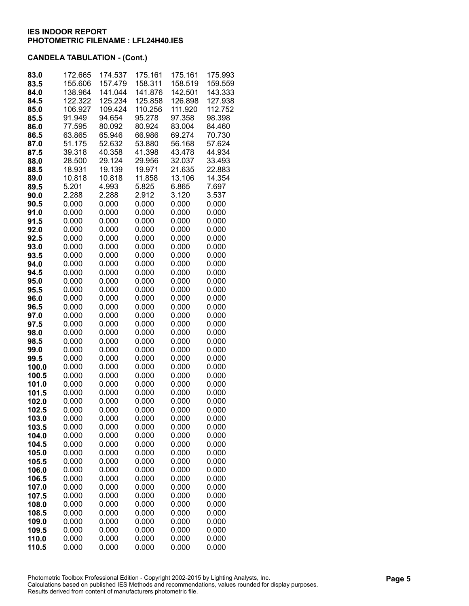| 83.0<br>83.5   | 172.665<br>155.606 | 174.537<br>157.479 | 175.161<br>158.311 | 175.161<br>158.519 | 175.993<br>159.559 |
|----------------|--------------------|--------------------|--------------------|--------------------|--------------------|
| 84.0           | 138.964            | 141.044            | 141.876            | 142.501            | 143.333            |
| 84.5           | 122.322            | 125.234            | 125.858            | 126.898            | 127.938            |
| 85.0           | 106.927            | 109.424            | 110.256            | 111.920            | 112.752            |
| 85.5           | 91.949             | 94.654             | 95.278             | 97.358             | 98.398             |
| 86.0           | 77.595             | 80.092             | 80.924             | 83.004             | 84.460             |
| 86.5           | 63.865             | 65.946             | 66.986             | 69.274             | 70.730             |
| 87.0           | 51.175             | 52.632             | 53.880             | 56.168             | 57.624             |
| 87.5           | 39.318             | 40.358             | 41.398             | 43.478             | 44.934             |
| 88.0           | 28.500             | 29.124             | 29.956             | 32.037             | 33.493             |
| 88.5           | 18.931             | 19.139             | 19.971             | 21.635             | 22.883             |
| 89.0           | 10.818             | 10.818             | 11.858             | 13.106             | 14.354             |
| 89.5           | 5.201              | 4.993              | 5.825              | 6.865              | 7.697              |
| 90.0           | 2.288              | 2.288              | 2.912              | 3.120              | 3.537              |
| 90.5<br>91.0   | 0.000<br>0.000     | 0.000<br>0.000     | 0.000<br>0.000     | 0.000<br>0.000     | 0.000<br>0.000     |
| 91.5           | 0.000              | 0.000              | 0.000              | 0.000              | 0.000              |
| 92.0           | 0.000              | 0.000              | 0.000              | 0.000              | 0.000              |
| 92.5           | 0.000              | 0.000              | 0.000              | 0.000              | 0.000              |
| 93.0           | 0.000              | 0.000              | 0.000              | 0.000              | 0.000              |
| 93.5           | 0.000              | 0.000              | 0.000              | 0.000              | 0.000              |
| 94.0           | 0.000              | 0.000              | 0.000              | 0.000              | 0.000              |
| 94.5           | 0.000              | 0.000              | 0.000              | 0.000              | 0.000              |
| 95.0           | 0.000              | 0.000              | 0.000              | 0.000              | 0.000              |
| 95.5           | 0.000              | 0.000              | 0.000              | 0.000              | 0.000              |
| 96.0           | 0.000              | 0.000              | 0.000              | 0.000              | 0.000              |
| 96.5           | 0.000              | 0.000              | 0.000              | 0.000              | 0.000              |
| 97.0           | 0.000              | 0.000              | 0.000              | 0.000              | 0.000              |
| 97.5           | 0.000              | 0.000              | 0.000              | 0.000              | 0.000              |
| 98.0           | 0.000              | 0.000              | 0.000              | 0.000              | 0.000              |
| 98.5<br>99.0   | 0.000<br>0.000     | 0.000<br>0.000     | 0.000<br>0.000     | 0.000<br>0.000     | 0.000<br>0.000     |
| 99.5           | 0.000              | 0.000              | 0.000              | 0.000              | 0.000              |
| 100.0          | 0.000              | 0.000              | 0.000              | 0.000              | 0.000              |
| 100.5          | 0.000              | 0.000              | 0.000              | 0.000              | 0.000              |
| 101.0          | 0.000              | 0.000              | 0.000              | 0.000              | 0.000              |
| 101.5          | 0.000              | 0.000              | 0.000              | 0.000              | 0.000              |
| 102.0          | 0.000              | 0.000              | 0.000              | 0.000              | 0.000              |
| 102.5          | 0.000              | 0.000              | 0.000              | 0.000              | 0.000              |
| 103.0          | 0.000              | 0.000              | 0.000              | 0.000              | 0.000              |
| 103.5          | 0.000              | 0.000              | 0.000              | 0.000              | 0.000              |
| 104.0          | 0.000              | 0.000              | 0.000              | 0.000              | 0.000              |
| 104.5          | 0.000              | 0.000              | 0.000              | 0.000              | 0.000              |
| 105.0          | 0.000<br>0.000     | 0.000<br>0.000     | 0.000<br>0.000     | 0.000<br>0.000     | 0.000<br>0.000     |
| 105.5<br>106.0 | 0.000              | 0.000              | 0.000              | 0.000              | 0.000              |
| 106.5          | 0.000              | 0.000              | 0.000              | 0.000              | 0.000              |
| 107.0          | 0.000              | 0.000              | 0.000              | 0.000              | 0.000              |
| 107.5          | 0.000              | 0.000              | 0.000              | 0.000              | 0.000              |
| 108.0          | 0.000              | 0.000              | 0.000              | 0.000              | 0.000              |
| 108.5          | 0.000              | 0.000              | 0.000              | 0.000              | 0.000              |
| 109.0          | 0.000              | 0.000              | 0.000              | 0.000              | 0.000              |
| 109.5          | 0.000              | 0.000              | 0.000              | 0.000              | 0.000              |
| 110.0          | 0.000              | 0.000              | 0.000              | 0.000              | 0.000              |
| 110.5          | 0.000              | 0.000              | 0.000              | 0.000              | 0.000              |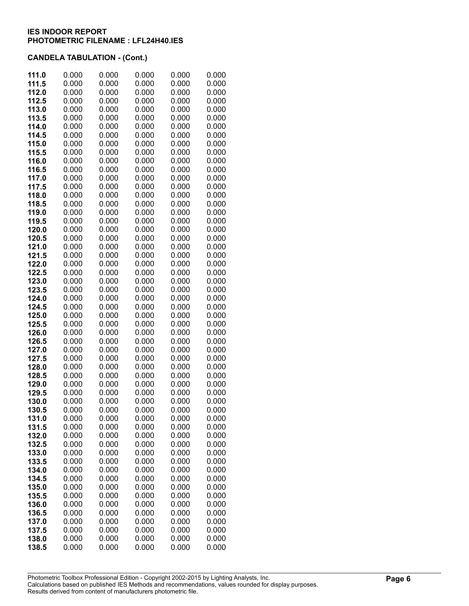| 111.0          | 0.000          | 0.000          | 0.000          | 0.000          | 0.000          |
|----------------|----------------|----------------|----------------|----------------|----------------|
| 111.5          | 0.000          | 0.000          | 0.000          | 0.000          | 0.000          |
| 112.0          | 0.000          | 0.000          | 0.000          | 0.000          | 0.000          |
| 112.5          | 0.000          | 0.000          | 0.000          | 0.000          | 0.000          |
| 113.0          | 0.000          | 0.000          | 0.000          | 0.000          | 0.000          |
| 113.5          | 0.000          | 0.000          | 0.000          | 0.000          | 0.000          |
| 114.0          | 0.000          | 0.000          | 0.000          | 0.000          | 0.000          |
| 114.5          | 0.000          | 0.000          | 0.000          | 0.000          | 0.000          |
| 115.0          | 0.000          | 0.000          | 0.000          | 0.000          | 0.000          |
| 115.5          | 0.000          | 0.000          | 0.000          | 0.000          | 0.000          |
| 116.0          | 0.000          | 0.000          | 0.000          | 0.000          | 0.000          |
| 116.5          | 0.000          | 0.000          | 0.000          | 0.000          | 0.000          |
| 117.0          | 0.000          | 0.000          | 0.000          | 0.000          | 0.000          |
| 117.5          | 0.000          | 0.000          | 0.000          | 0.000          | 0.000          |
| 118.0<br>118.5 | 0.000<br>0.000 | 0.000<br>0.000 | 0.000<br>0.000 | 0.000<br>0.000 | 0.000<br>0.000 |
| 119.0          | 0.000          | 0.000          | 0.000          | 0.000          | 0.000          |
| 119.5          | 0.000          | 0.000          | 0.000          | 0.000          | 0.000          |
| 120.0          | 0.000          | 0.000          | 0.000          | 0.000          | 0.000          |
| 120.5          | 0.000          | 0.000          | 0.000          | 0.000          | 0.000          |
| 121.0          | 0.000          | 0.000          | 0.000          | 0.000          | 0.000          |
| 121.5          | 0.000          | 0.000          | 0.000          | 0.000          | 0.000          |
| 122.0          | 0.000          | 0.000          | 0.000          | 0.000          | 0.000          |
| 122.5          | 0.000          | 0.000          | 0.000          | 0.000          | 0.000          |
| 123.0          | 0.000          | 0.000          | 0.000          | 0.000          | 0.000          |
| 123.5          | 0.000          | 0.000          | 0.000          | 0.000          | 0.000          |
| 124.0          | 0.000          | 0.000          | 0.000          | 0.000          | 0.000          |
| 124.5          | 0.000          | 0.000          | 0.000          | 0.000          | 0.000          |
| 125.0          | 0.000          | 0.000          | 0.000          | 0.000          | 0.000          |
| 125.5          | 0.000          | 0.000          | 0.000          | 0.000          | 0.000          |
| 126.0          | 0.000          | 0.000          | 0.000          | 0.000          | 0.000          |
| 126.5          | 0.000          | 0.000          | 0.000          | 0.000          | 0.000          |
| 127.0          | 0.000          | 0.000          | 0.000          | 0.000          | 0.000          |
| 127.5          | 0.000<br>0.000 | 0.000<br>0.000 | 0.000<br>0.000 | 0.000<br>0.000 | 0.000<br>0.000 |
| 128.0<br>128.5 | 0.000          | 0.000          | 0.000          | 0.000          | 0.000          |
| 129.0          | 0.000          | 0.000          | 0.000          | 0.000          | 0.000          |
| 129.5          | 0.000          | 0.000          | 0.000          | 0.000          | 0.000          |
| 130.0          | 0.000          | 0.000          | 0.000          | 0.000          | 0.000          |
| 130.5          | 0.000          | 0.000          | 0.000          | 0.000          | 0.000          |
| 131.0          | 0.000          | 0.000          | 0.000          | 0.000          | 0.000          |
| 131.5          | 0.000          | 0.000          | 0.000          | 0.000          | 0.000          |
| 132.0          | 0.000          | 0.000          | 0.000          | 0.000          | 0.000          |
| 132.5          | 0.000          | 0.000          | 0.000          | 0.000          | 0.000          |
| 133.0          | 0.000          | 0.000          | 0.000          | 0.000          | 0.000          |
| 133.5          | 0.000          | 0.000          | 0.000          | 0.000          | 0.000          |
| 134.0          | 0.000          | 0.000          | 0.000          | 0.000          | 0.000          |
| 134.5          | 0.000          | 0.000          | 0.000          | 0.000          | 0.000          |
| 135.0          | 0.000          | 0.000          | 0.000          | 0.000          | 0.000          |
| 135.5          | 0.000          | 0.000          | 0.000          | 0.000          | 0.000          |
| 136.0          | 0.000          | 0.000          | 0.000          | 0.000          | 0.000          |
| 136.5<br>137.0 | 0.000<br>0.000 | 0.000<br>0.000 | 0.000<br>0.000 | 0.000<br>0.000 | 0.000<br>0.000 |
| 137.5          | 0.000          | 0.000          | 0.000          | 0.000          | 0.000          |
| 138.0          | 0.000          | 0.000          | 0.000          | 0.000          | 0.000          |
| 138.5          | 0.000          | 0.000          | 0.000          | 0.000          | 0.000          |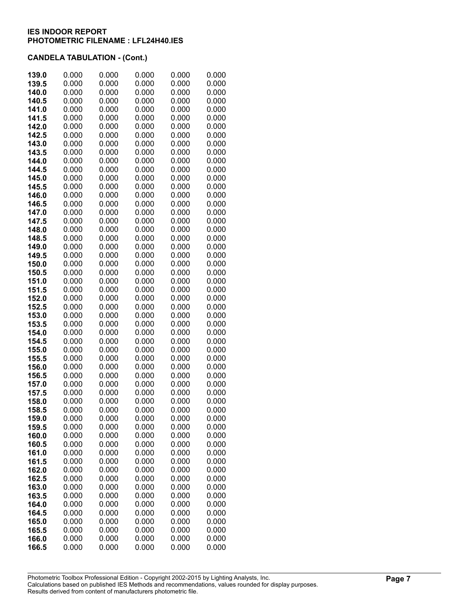|       | 0.000 | 0.000 | 0.000 | 0.000 | 0.000 |
|-------|-------|-------|-------|-------|-------|
| 139.0 |       |       |       |       |       |
| 139.5 | 0.000 | 0.000 | 0.000 | 0.000 | 0.000 |
| 140.0 | 0.000 | 0.000 | 0.000 | 0.000 | 0.000 |
| 140.5 | 0.000 | 0.000 | 0.000 | 0.000 | 0.000 |
| 141.0 | 0.000 | 0.000 | 0.000 | 0.000 | 0.000 |
| 141.5 | 0.000 | 0.000 | 0.000 | 0.000 | 0.000 |
| 142.0 | 0.000 | 0.000 | 0.000 | 0.000 | 0.000 |
| 142.5 | 0.000 | 0.000 | 0.000 | 0.000 | 0.000 |
|       |       |       |       |       |       |
| 143.0 | 0.000 | 0.000 | 0.000 | 0.000 | 0.000 |
| 143.5 | 0.000 | 0.000 | 0.000 | 0.000 | 0.000 |
| 144.0 | 0.000 | 0.000 | 0.000 | 0.000 | 0.000 |
| 144.5 | 0.000 | 0.000 | 0.000 | 0.000 | 0.000 |
| 145.0 | 0.000 | 0.000 | 0.000 | 0.000 | 0.000 |
| 145.5 | 0.000 | 0.000 | 0.000 | 0.000 | 0.000 |
| 146.0 | 0.000 | 0.000 | 0.000 | 0.000 | 0.000 |
| 146.5 | 0.000 | 0.000 | 0.000 | 0.000 | 0.000 |
| 147.0 | 0.000 | 0.000 | 0.000 | 0.000 | 0.000 |
|       |       |       |       |       |       |
| 147.5 | 0.000 | 0.000 | 0.000 | 0.000 | 0.000 |
| 148.0 | 0.000 | 0.000 | 0.000 | 0.000 | 0.000 |
| 148.5 | 0.000 | 0.000 | 0.000 | 0.000 | 0.000 |
| 149.0 | 0.000 | 0.000 | 0.000 | 0.000 | 0.000 |
| 149.5 | 0.000 | 0.000 | 0.000 | 0.000 | 0.000 |
| 150.0 | 0.000 | 0.000 | 0.000 | 0.000 | 0.000 |
| 150.5 | 0.000 | 0.000 | 0.000 | 0.000 | 0.000 |
| 151.0 | 0.000 | 0.000 | 0.000 | 0.000 | 0.000 |
| 151.5 | 0.000 | 0.000 | 0.000 | 0.000 | 0.000 |
|       |       |       |       |       |       |
| 152.0 | 0.000 | 0.000 | 0.000 | 0.000 | 0.000 |
| 152.5 | 0.000 | 0.000 | 0.000 | 0.000 | 0.000 |
| 153.0 | 0.000 | 0.000 | 0.000 | 0.000 | 0.000 |
| 153.5 | 0.000 | 0.000 | 0.000 | 0.000 | 0.000 |
| 154.0 | 0.000 | 0.000 | 0.000 | 0.000 | 0.000 |
| 154.5 | 0.000 | 0.000 | 0.000 | 0.000 | 0.000 |
| 155.0 | 0.000 | 0.000 | 0.000 | 0.000 | 0.000 |
| 155.5 | 0.000 | 0.000 | 0.000 | 0.000 | 0.000 |
| 156.0 | 0.000 | 0.000 | 0.000 | 0.000 | 0.000 |
| 156.5 | 0.000 | 0.000 | 0.000 | 0.000 | 0.000 |
| 157.0 | 0.000 | 0.000 | 0.000 | 0.000 | 0.000 |
|       |       |       |       |       |       |
| 157.5 | 0.000 | 0.000 | 0.000 | 0.000 | 0.000 |
| 158.0 | 0.000 | 0.000 | 0.000 | 0.000 | 0.000 |
| 158.5 | 0.000 | 0.000 | 0.000 | 0.000 | 0.000 |
| 159.0 | 0.000 | 0.000 | 0.000 | 0.000 | 0.000 |
| 159.5 | 0.000 | 0.000 | 0.000 | 0.000 | 0.000 |
| 160.0 | 0.000 | 0.000 | 0.000 | 0.000 | 0.000 |
| 160.5 | 0.000 | 0.000 | 0.000 | 0.000 | 0.000 |
| 161.0 | 0.000 | 0.000 | 0.000 | 0.000 | 0.000 |
| 161.5 | 0.000 | 0.000 | 0.000 | 0.000 | 0.000 |
| 162.0 | 0.000 | 0.000 | 0.000 | 0.000 | 0.000 |
| 162.5 | 0.000 | 0.000 | 0.000 | 0.000 | 0.000 |
|       |       |       |       |       |       |
| 163.0 | 0.000 | 0.000 | 0.000 | 0.000 | 0.000 |
| 163.5 | 0.000 | 0.000 | 0.000 | 0.000 | 0.000 |
| 164.0 | 0.000 | 0.000 | 0.000 | 0.000 | 0.000 |
| 164.5 | 0.000 | 0.000 | 0.000 | 0.000 | 0.000 |
| 165.0 | 0.000 | 0.000 | 0.000 | 0.000 | 0.000 |
| 165.5 | 0.000 | 0.000 | 0.000 | 0.000 | 0.000 |
| 166.0 | 0.000 | 0.000 | 0.000 | 0.000 | 0.000 |
| 166.5 | 0.000 | 0.000 | 0.000 | 0.000 | 0.000 |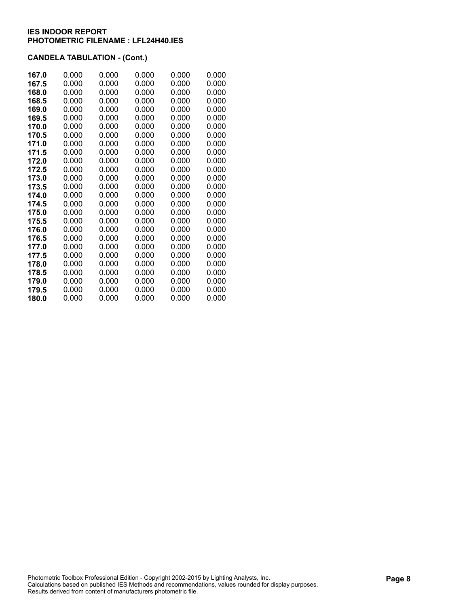| 167.0 | 0.000 | 0.000 | 0.000 | 0.000 | 0.000 |
|-------|-------|-------|-------|-------|-------|
| 167.5 | 0.000 | 0.000 | 0.000 | 0.000 | 0.000 |
| 168.0 | 0.000 | 0.000 | 0.000 | 0.000 | 0.000 |
| 168.5 | 0.000 | 0.000 | 0.000 | 0.000 | 0.000 |
| 169.0 | 0.000 | 0.000 | 0.000 | 0.000 | 0.000 |
| 169.5 | 0.000 | 0.000 | 0.000 | 0.000 | 0.000 |
| 170.0 | 0.000 | 0.000 | 0.000 | 0.000 | 0.000 |
| 170.5 | 0.000 | 0.000 | 0.000 | 0.000 | 0.000 |
| 171.0 | 0.000 | 0.000 | 0.000 | 0.000 | 0.000 |
| 171.5 | 0.000 | 0.000 | 0.000 | 0.000 | 0.000 |
| 172.0 | 0.000 | 0.000 | 0.000 | 0.000 | 0.000 |
| 172.5 | 0.000 | 0.000 | 0.000 | 0.000 | 0.000 |
| 173.0 | 0.000 | 0.000 | 0.000 | 0.000 | 0.000 |
| 173.5 | 0.000 | 0.000 | 0.000 | 0.000 | 0.000 |
| 174.0 | 0.000 | 0.000 | 0.000 | 0.000 | 0.000 |
| 174.5 | 0.000 | 0.000 | 0.000 | 0.000 | 0.000 |
| 175.0 | 0.000 | 0.000 | 0.000 | 0.000 | 0.000 |
| 175.5 | 0.000 | 0.000 | 0.000 | 0.000 | 0.000 |
| 176.0 | 0.000 | 0.000 | 0.000 | 0.000 | 0.000 |
| 176.5 | 0.000 | 0.000 | 0.000 | 0.000 | 0.000 |
| 177.0 | 0.000 | 0.000 | 0.000 | 0.000 | 0.000 |
| 177.5 | 0.000 | 0.000 | 0.000 | 0.000 | 0.000 |
| 178.0 | 0.000 | 0.000 | 0.000 | 0.000 | 0.000 |
| 178.5 | 0.000 | 0.000 | 0.000 | 0.000 | 0.000 |
| 179.0 | 0.000 | 0.000 | 0.000 | 0.000 | 0.000 |
| 179.5 | 0.000 | 0.000 | 0.000 | 0.000 | 0.000 |
| 180.0 | 0.000 | 0.000 | 0.000 | 0.000 | 0.000 |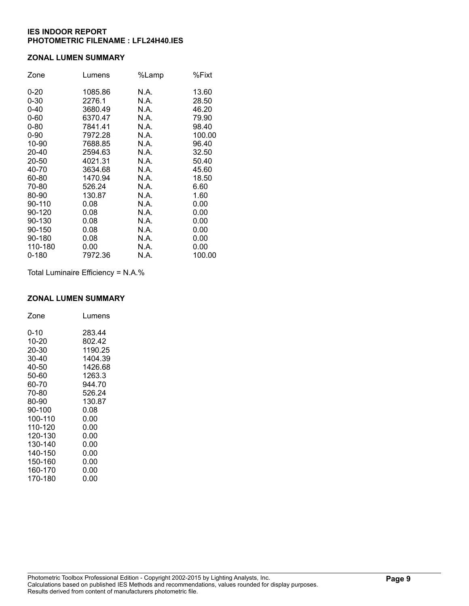### **ZONAL LUMEN SUMMARY**

| Zone      | Lumens  | %Lamp | %Fixt  |
|-----------|---------|-------|--------|
| $0 - 20$  | 1085.86 | N.A.  | 13.60  |
| $0 - 30$  | 2276.1  | N.A.  | 28.50  |
| $0 - 40$  | 3680.49 | N.A.  | 46.20  |
| $0 - 60$  | 6370.47 | N.A.  | 79.90  |
| $0 - 80$  | 7841.41 | N.A.  | 98.40  |
| $0 - 90$  | 7972.28 | N.A.  | 100.00 |
| 10-90     | 7688.85 | N.A.  | 96.40  |
| 20-40     | 2594.63 | N.A.  | 32.50  |
| 20-50     | 4021.31 | N.A.  | 50.40  |
| 40-70     | 3634.68 | N.A.  | 45.60  |
| 60-80     | 1470.94 | N.A.  | 18.50  |
| 70-80     | 526.24  | N.A.  | 6.60   |
| 80-90     | 130.87  | N.A.  | 1.60   |
| 90-110    | 0.08    | N.A.  | 0.00   |
| 90-120    | 0.08    | N.A.  | 0.00   |
| 90-130    | 0.08    | N.A.  | 0.00   |
| 90-150    | 0.08    | N.A.  | 0.00   |
| 90-180    | 0.08    | N.A.  | 0.00   |
| 110-180   | 0.00    | N.A.  | 0.00   |
| $0 - 180$ | 7972.36 | N.A.  | 100.00 |

Total Luminaire Efficiency = N.A.%

#### **ZONAL LUMEN SUMMARY**

| Zone    | Lumens  |
|---------|---------|
| 0-10    | 283.44  |
| 10-20   | 802.42  |
| 20-30   | 1190.25 |
| 30-40   | 1404.39 |
| 40-50   | 1426.68 |
| 50-60   | 1263.3  |
| 60-70   | 944.70  |
| 70-80   | 526.24  |
| 80-90   | 130.87  |
| 90-100  | 0.08    |
| 100-110 | 0.00    |
| 110-120 | 0.00    |
| 120-130 | 0.00    |
| 130-140 | 0.00    |
| 140-150 | 0.00    |
| 150-160 | 0.00    |
| 160-170 | 0.00    |
| 170-180 | 0.00    |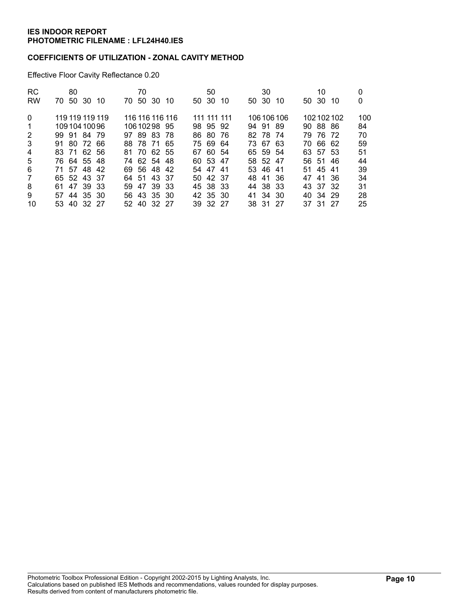### **COEFFICIENTS OF UTILIZATION - ZONAL CAVITY METHOD**

Effective Floor Cavity Reflectance 0.20

| <b>RC</b>      | 80                   | 70                  | 50           | 30          | 10            | 0   |
|----------------|----------------------|---------------------|--------------|-------------|---------------|-----|
| <b>RW</b>      | -50<br>-30 10<br>70. | 50 30<br>70.<br>-10 | 50 30<br>-10 | 50 30<br>10 | 50 30<br>-10  | 0   |
| $\Omega$       | 119 119 119 119      | 116 116 116 116     | 111 111 111  | 106 106 106 | 102102102     | 100 |
| 1              | 10910410096          | 10610298 95         | 98 95 92     | 94 91 89    | 90 88 86      | 84  |
| 2              | 99 91 84 79          | 97 89 83 78         | 86 80 76     | 82 78 74    | 79 76 72      | 70  |
| 3              | 91 80 72 66          | 88 78 71 65         | 7569<br>-64  | 73 67 63    | 70 66 62      | 59  |
| 4              | 83 71 62 56          | 81 70 62 55         | 67 60 54     | 65 59 54    | 63 57 53      | 51  |
| 5              | 76 64 55 48          | 74 62 54 48         | 60 53 47     | 58 52 47    | 56 51<br>- 46 | 44  |
| 6              | 71 57 48 42          | 69 56 48 42         | 54 47 41     | 53 46 41    | 51 45 41      | 39  |
| $\overline{7}$ | 65 52 43 37          | 64 51 43 37         | 50 42 37     | 48 41 36    | 47 41 36      | 34  |
| 8              | 61 47 39 33          | 47 39 33<br>59.     | 45 38 33     | 44 38 33    | 43 37 32      | 31  |
| 9              | 57 44 35 30          | 56 43 35 30         | 42 35 30     | 41 34 30    | 40 34 29      | 28  |
| 10             | 53 40 32 27          | 52 40 32 27         | 39 32 27     | 38 31 27    | 37 31 27      | 25  |